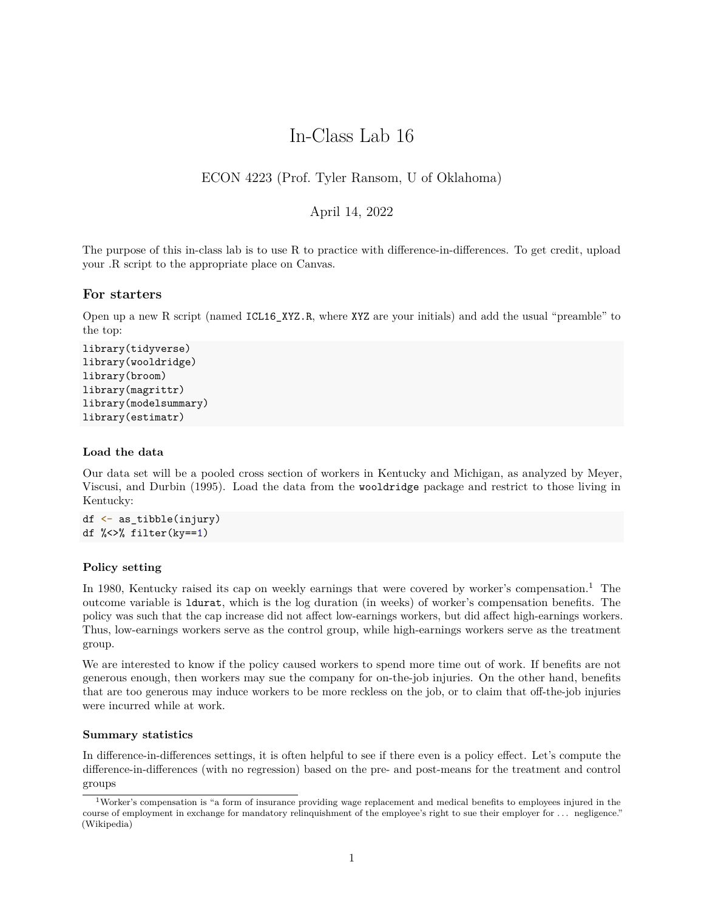# In-Class Lab 16

# ECON 4223 (Prof. Tyler Ransom, U of Oklahoma)

# April 14, 2022

The purpose of this in-class lab is to use R to practice with difference-in-differences. To get credit, upload your .R script to the appropriate place on Canvas.

## **For starters**

Open up a new R script (named ICL16\_XYZ.R, where XYZ are your initials) and add the usual "preamble" to the top:

```
library(tidyverse)
library(wooldridge)
library(broom)
library(magrittr)
library(modelsummary)
library(estimatr)
```
## **Load the data**

Our data set will be a pooled cross section of workers in Kentucky and Michigan, as analyzed by Meyer, Viscusi, and Durbin (1995). Load the data from the wooldridge package and restrict to those living in Kentucky:

```
df \leftarrow as tibble(injury)
df %<>% filter(ky==1)
```
## **Policy setting**

In [1](#page-0-0)980, Kentucky raised its cap on weekly earnings that were covered by worker's compensation.<sup>1</sup> The outcome variable is ldurat, which is the log duration (in weeks) of worker's compensation benefits. The policy was such that the cap increase did not affect low-earnings workers, but did affect high-earnings workers. Thus, low-earnings workers serve as the control group, while high-earnings workers serve as the treatment group.

We are interested to know if the policy caused workers to spend more time out of work. If benefits are not generous enough, then workers may sue the company for on-the-job injuries. On the other hand, benefits that are too generous may induce workers to be more reckless on the job, or to claim that off-the-job injuries were incurred while at work.

## **Summary statistics**

In difference-in-differences settings, it is often helpful to see if there even is a policy effect. Let's compute the difference-in-differences (with no regression) based on the pre- and post-means for the treatment and control groups

<span id="page-0-0"></span><sup>1</sup>Worker's compensation is "a form of insurance providing wage replacement and medical benefits to employees injured in the course of employment in exchange for mandatory relinquishment of the employee's right to sue their employer for ... negligence." [\(Wikipedia\)](https://en.wikipedia.org/wiki/Workers%27_compensation)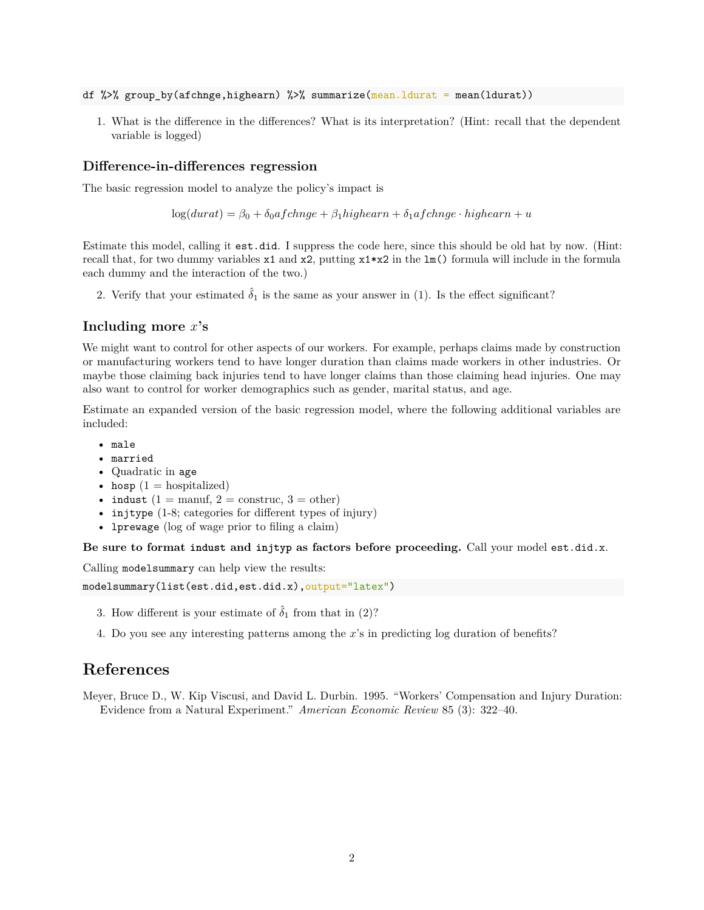- df %>% group\_by(afchnge,highearn) %>% summarize(mean.ldurat = mean(ldurat))
	- 1. What is the difference in the differences? What is its interpretation? (Hint: recall that the dependent variable is logged)

#### **Difference-in-differences regression**

The basic regression model to analyze the policy's impact is

 $\log(durat) = \beta_0 + \delta_0afchange + \beta_1highearn + \delta_1afchange \cdot higheran + u$ 

Estimate this model, calling it est.did. I suppress the code here, since this should be old hat by now. (Hint: recall that, for two dummy variables  $x1$  and  $x2$ , putting  $x1*x2$  in the lm() formula will include in the formula each dummy and the interaction of the two.)

2. Verify that your estimated  $\hat{\delta}_1$  is the same as your answer in (1). Is the effect significant?

## **Including more** *x***'s**

We might want to control for other aspects of our workers. For example, perhaps claims made by construction or manufacturing workers tend to have longer duration than claims made workers in other industries. Or maybe those claiming back injuries tend to have longer claims than those claiming head injuries. One may also want to control for worker demographics such as gender, marital status, and age.

Estimate an expanded version of the basic regression model, where the following additional variables are included:

- male
- married
- Quadratic in age
- hosp  $(1 = \text{hospitalized})$
- indust  $(1 = \text{manuf}, 2 = \text{construct}, 3 = \text{other})$
- injtype (1-8; categories for different types of injury)
- **lprewage** (log of wage prior to filing a claim)

**Be sure to format indust and injtyp as factors before proceeding.** Call your model est.did.x.

Calling modelsummary can help view the results:

```
modelsummary(list(est.did,est.did.x),output="latex")
```
- 3. How different is your estimate of  $\hat{\delta}_1$  from that in (2)?
- 4. Do you see any interesting patterns among the *x*'s in predicting log duration of benefits?

# **References**

Meyer, Bruce D., W. Kip Viscusi, and David L. Durbin. 1995. "Workers' Compensation and Injury Duration: Evidence from a Natural Experiment." *American Economic Review* 85 (3): 322–40.